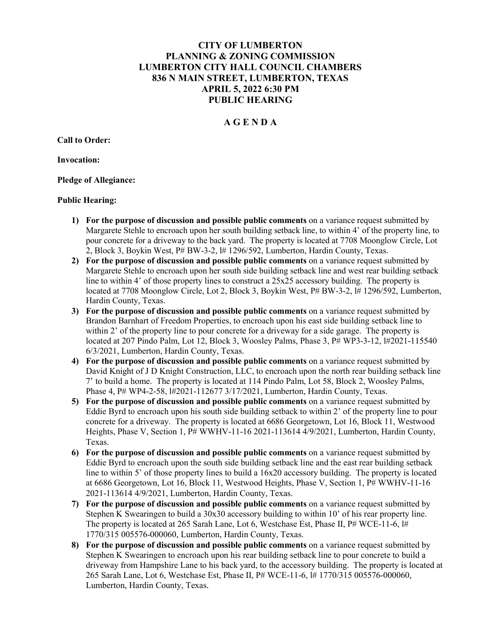# CITY OF LUMBERTON PLANNING & ZONING COMMISSION LUMBERTON CITY HALL COUNCIL CHAMBERS 836 N MAIN STREET, LUMBERTON, TEXAS APRIL 5, 2022 6:30 PM PUBLIC HEARING

## A G E N D A

Call to Order:

Invocation:

Pledge of Allegiance:

#### Public Hearing:

- 1) For the purpose of discussion and possible public comments on a variance request submitted by Margarete Stehle to encroach upon her south building setback line, to within 4' of the property line, to pour concrete for a driveway to the back yard. The property is located at 7708 Moonglow Circle, Lot 2, Block 3, Boykin West,  $P# BW-3-2$ ,  $1# 1296/592$ , Lumberton, Hardin County, Texas.
- 2) For the purpose of discussion and possible public comments on a variance request submitted by Margarete Stehle to encroach upon her south side building setback line and west rear building setback line to within 4' of those property lines to construct a 25x25 accessory building. The property is located at 7708 Moonglow Circle, Lot 2, Block 3, Boykin West, P# BW-3-2, 1# 1296/592, Lumberton, Hardin County, Texas.
- 3) For the purpose of discussion and possible public comments on a variance request submitted by Brandon Barnhart of Freedom Properties, to encroach upon his east side building setback line to within 2' of the property line to pour concrete for a driveway for a side garage. The property is located at 207 Pindo Palm, Lot 12, Block 3, Woosley Palms, Phase 3, P# WP3-3-12, l#2021-115540 6/3/2021, Lumberton, Hardin County, Texas.
- 4) For the purpose of discussion and possible public comments on a variance request submitted by David Knight of J D Knight Construction, LLC, to encroach upon the north rear building setback line 7' to build a home. The property is located at 114 Pindo Palm, Lot 58, Block 2, Woosley Palms, Phase 4, P# WP4-2-58, l#2021-112677 3/17/2021, Lumberton, Hardin County, Texas.
- 5) For the purpose of discussion and possible public comments on a variance request submitted by Eddie Byrd to encroach upon his south side building setback to within 2' of the property line to pour concrete for a driveway. The property is located at 6686 Georgetown, Lot 16, Block 11, Westwood Heights, Phase V, Section 1, P# WWHV-11-16 2021-113614 4/9/2021, Lumberton, Hardin County, Texas.
- 6) For the purpose of discussion and possible public comments on a variance request submitted by Eddie Byrd to encroach upon the south side building setback line and the east rear building setback line to within 5' of those property lines to build a 16x20 accessory building. The property is located at 6686 Georgetown, Lot 16, Block 11, Westwood Heights, Phase V, Section 1, P# WWHV-11-16 2021-113614 4/9/2021, Lumberton, Hardin County, Texas.
- 7) For the purpose of discussion and possible public comments on a variance request submitted by Stephen K Swearingen to build a 30x30 accessory building to within 10' of his rear property line. The property is located at 265 Sarah Lane, Lot 6, Westchase Est, Phase II,  $P# WCE-11-6$ ,  $H#$ 1770/315 005576-000060, Lumberton, Hardin County, Texas.
- 8) For the purpose of discussion and possible public comments on a variance request submitted by Stephen K Swearingen to encroach upon his rear building setback line to pour concrete to build a driveway from Hampshire Lane to his back yard, to the accessory building. The property is located at 265 Sarah Lane, Lot 6, Westchase Est, Phase II, P# WCE-11-6, l# 1770/315 005576-000060, Lumberton, Hardin County, Texas.